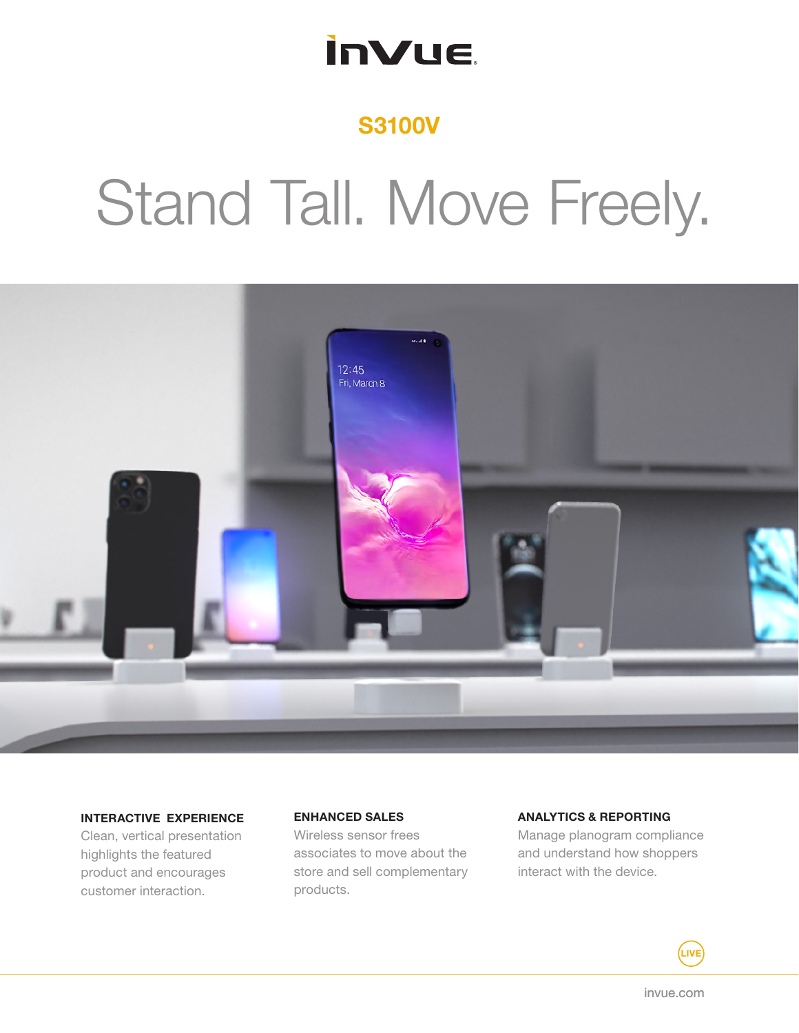## **InVue**

### S3100V

# Stand Tall. Move Freely.



#### INTERACTIVE EXPERIENCE

Clean, vertical presentation highlights the featured product and encourages customer interaction.

#### ENHANCED SALES

Wireless sensor frees associates to move about the store and sell complementary products.

#### ANALYTICS & REPORTING

Manage planogram compliance and understand how shoppers interact with the device.